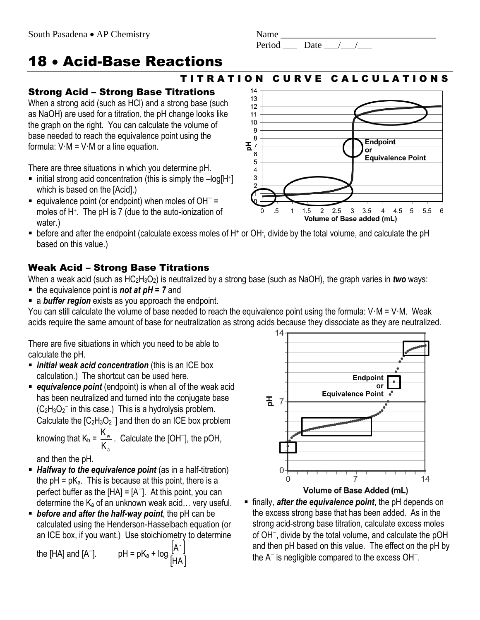| <b>Name</b> |       |  |
|-------------|-------|--|
| Period      | Date. |  |

# 18 • Acid-Base Reactions

#### T I T R A T I O N C U R V E C A L C U L A T I O N S

### Strong Acid – Strong Base Titrations

When a strong acid (such as HCl) and a strong base (such as NaOH) are used for a titration, the pH change looks like the graph on the right. You can calculate the volume of base needed to reach the equivalence point using the formula:  $V \cdot M = V \cdot M$  or a line equation.

There are three situations in which you determine pH.

- $\blacksquare$  initial strong acid concentration (this is simply the  $-\text{log}[H^+]$ which is based on the [Acid].)
- $\bullet$  equivalence point (or endpoint) when moles of OH<sup>-</sup> = moles of H<sup>+</sup> . The pH is 7 (due to the auto-ionization of water.)
- before and after the endpoint (calculate excess moles of H<sup>+</sup> or OH<sup>-</sup>, divide by the total volume, and calculate the pH based on this value.)

## Weak Acid – Strong Base Titrations

When a weak acid (such as HC<sub>2</sub>H<sub>3</sub>O<sub>2</sub>) is neutralized by a strong base (such as NaOH), the graph varies in *two* ways:

- the equivalence point is *not at pH* = 7 and
- **a buffer region** exists as you approach the endpoint.

You can still calculate the volume of base needed to reach the equivalence point using the formula: V·M = V·M. Weak acids require the same amount of base for neutralization as strong acids because they dissociate as they are neutralized.

There are five situations in which you need to be able to calculate the pH.

- *initial weak acid concentration* (this is an ICE box calculation.) The shortcut can be used here.
- *equivalence point* (endpoint) is when all of the weak acid has been neutralized and turned into the conjugate base  $(C_2H_3O_2^-$  in this case.) This is a hydrolysis problem. Calculate the  $[C_2H_3O_2]$  and then do an ICE box problem

knowing that 
$$
K_b = \frac{K_w}{K_a}
$$
. Calculate the [OH<sup>-</sup>], the pOH,

and then the pH.

- **Halfway to the equivalence point** (as in a half-titration) the  $pH = pK_a$ . This is because at this point, there is a perfect buffer as the [HA] = [A ]. At this point, you can determine the  $K_a$  of an unknown weak acid... very useful.
- *before and after the half-way point*, the pH can be calculated using the Henderson-Hasselbach equation (or an ICE box, if you want.) Use stoichiometry to determine

the [HA] and [A<sup>-</sup>]. 
$$
pH = pK_a + log \frac{[A \cdot]}{[HA]}
$$



 finally, *after the equivalence point*, the pH depends on the excess strong base that has been added. As in the strong acid-strong base titration, calculate excess moles of OH<sup>-</sup>, divide by the total volume, and calculate the pOH and then pH based on this value. The effect on the pH by the  $A^-$  is negligible compared to the excess  $OH^-$ .